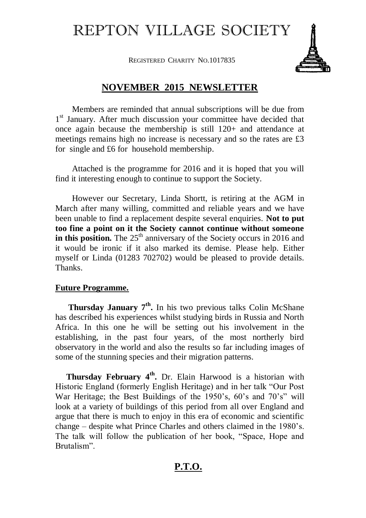## REPTON VILLAGE SOCIETY

REGISTERED CHARITY NO.1017835



## **NOVEMBER 2015 NEWSLETTER**

Members are reminded that annual subscriptions will be due from 1<sup>st</sup> January. After much discussion your committee have decided that once again because the membership is still 120+ and attendance at meetings remains high no increase is necessary and so the rates are £3 for single and £6 for household membership.

Attached is the programme for 2016 and it is hoped that you will find it interesting enough to continue to support the Society.

However our Secretary, Linda Shortt, is retiring at the AGM in March after many willing, committed and reliable years and we have been unable to find a replacement despite several enquiries. **Not to put too fine a point on it the Society cannot continue without someone in this position.** The  $25<sup>th</sup>$  anniversary of the Society occurs in 2016 and it would be ironic if it also marked its demise. Please help. Either myself or Linda (01283 702702) would be pleased to provide details. Thanks.

## **Future Programme.**

**Thursday January 7<sup>th</sup>.** In his two previous talks Colin McShane has described his experiences whilst studying birds in Russia and North Africa. In this one he will be setting out his involvement in the establishing, in the past four years, of the most northerly bird observatory in the world and also the results so far including images of some of the stunning species and their migration patterns.

**Thursday February 4<sup>th</sup>**. Dr. Elain Harwood is a historian with Historic England (formerly English Heritage) and in her talk "Our Post War Heritage; the Best Buildings of the 1950's, 60's and 70's" will look at a variety of buildings of this period from all over England and argue that there is much to enjoy in this era of economic and scientific change – despite what Prince Charles and others claimed in the 1980's. The talk will follow the publication of her book, "Space, Hope and Brutalism".

## **P.T.O.**